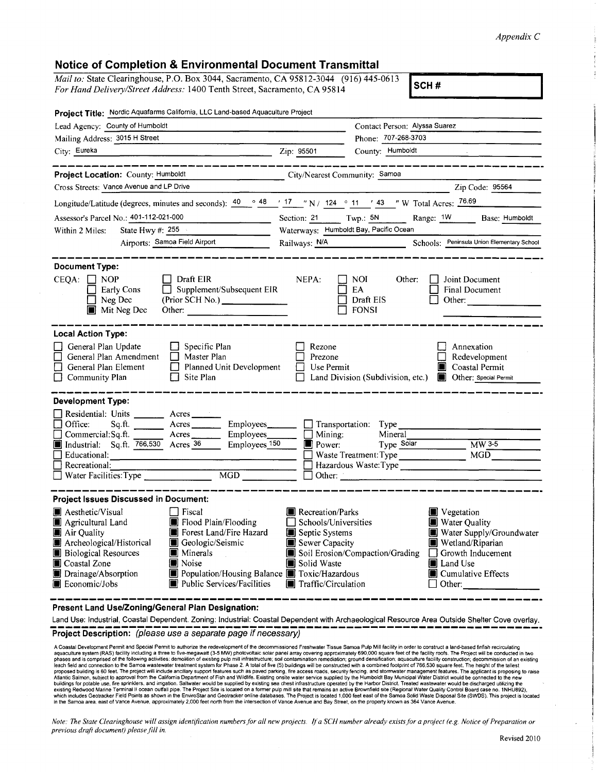## *Appendix C*

## **Notice of Completion & Environmental Document Transmittal**

*Mail to:* State Clearinghouse, P.O. Box 3044, Sacramento, CA 95812-3044 (916) 445-0613 *For Hand Delivery/Street Address:* 1400 Tenth Street, Sacramento, CA 95814

| Project Title: Nordic Aquafarms California, LLC Land-based Aquaculture Project                                                                                                                                                                                                                                                                                                                                                                                  |                                                                                                                           |                                                                                                                                                                                                              |
|-----------------------------------------------------------------------------------------------------------------------------------------------------------------------------------------------------------------------------------------------------------------------------------------------------------------------------------------------------------------------------------------------------------------------------------------------------------------|---------------------------------------------------------------------------------------------------------------------------|--------------------------------------------------------------------------------------------------------------------------------------------------------------------------------------------------------------|
| Lead Agency: County of Humboldt                                                                                                                                                                                                                                                                                                                                                                                                                                 |                                                                                                                           | Contact Person: Alyssa Suarez                                                                                                                                                                                |
| Mailing Address: 3015 H Street                                                                                                                                                                                                                                                                                                                                                                                                                                  |                                                                                                                           | Phone: 707-268-3703                                                                                                                                                                                          |
| City: Eureka                                                                                                                                                                                                                                                                                                                                                                                                                                                    | Zip: 95501                                                                                                                | County: Humboldt                                                                                                                                                                                             |
| Project Location: County: Humboldt                                                                                                                                                                                                                                                                                                                                                                                                                              | City/Nearest Community: Samoa                                                                                             |                                                                                                                                                                                                              |
| Cross Streets: Vance Avenue and LP Drive                                                                                                                                                                                                                                                                                                                                                                                                                        |                                                                                                                           | Zip Code: 95564                                                                                                                                                                                              |
| Longitude/Latitude (degrees, minutes and seconds): $\frac{40}{48}$ $\frac{48}{17}$ $\frac{17}{17}$ $\frac{17}{17}$ N / 124 $\circ$ 11 $\cdot$ 43 $\cdot$ W Total Acres: 76.69                                                                                                                                                                                                                                                                                   |                                                                                                                           |                                                                                                                                                                                                              |
| Assessor's Parcel No.: 401-112-021-000                                                                                                                                                                                                                                                                                                                                                                                                                          | Section: 21                                                                                                               | $Twp.:$ 5N<br>Range: 1W<br>Base: Humboldt                                                                                                                                                                    |
| Within 2 Miles:<br>State Hwy $\#$ 255                                                                                                                                                                                                                                                                                                                                                                                                                           | Waterways: Humboldt Bay, Pacific Ocean                                                                                    |                                                                                                                                                                                                              |
| Airports: Samoa Field Airport                                                                                                                                                                                                                                                                                                                                                                                                                                   | Railways: N/A                                                                                                             | Schools: Peninsula Union Elementary School                                                                                                                                                                   |
| <b>Document Type:</b><br>$CEQA: \Box NOP$<br>Draft EIR<br>Early Cons<br>Supplement/Subsequent EIR<br>Neg Dec<br>$\blacksquare$ Mit Neg Dec<br>Other:                                                                                                                                                                                                                                                                                                            | NEPA:                                                                                                                     | NOI.<br>Other:<br>Joint Document<br>EA<br>Final Document<br>Draft EIS<br>Other: $\qquad \qquad$<br><b>FONSI</b>                                                                                              |
| General Plan Update<br>Specific Plan<br>General Plan Amendment<br>$\Box$ Master Plan<br>$\Box$ General Plan Element<br>Planned Unit Development<br>$\Box$ Community Plan<br>$\Box$ Site Plan                                                                                                                                                                                                                                                                    | Rezone<br>Prezone<br>$\Box$ Use Permit                                                                                    | Annexation<br>Redevelopment<br>Coastal Permit<br>Land Division (Subdivision, etc.) <b>Depart Other:</b> Special Permit                                                                                       |
| <b>Development Type:</b><br>Residential: Units ______<br>Acres<br>Employees______<br>Office:<br>Sq.ft.<br>$\Box$ Commercial: Sq. ft. $\Box$<br>$Arcres$ <sub>________</sub><br>Employees<br>Employees <sub>150</sub><br>Industrial: Sq.ft. 766,530 Acres 36<br>П<br>Educational:<br>the contract of the contract of the contract of the contract of the<br>$\Box$ Recreational:<br>Water Facilities: Type<br>$\overline{MGD}$                                   | $\Box$ Mining:<br>$\blacksquare$ Power:<br>$\Box$ Other:                                                                  | Transportation: Type<br>Mineral<br>Type Solar<br>MW 3-5<br>MGD<br>Waste Treatment: Type<br>Hazardous Waste: Type                                                                                             |
| <b>Project Issues Discussed in Document:</b><br><b>A</b> Aesthetic/Visual<br>    Fiscal<br>Flood Plain/Flooding<br>Agricultural Land<br>Forest Land/Fire Hazard<br>Air Quality<br>Archeological/Historical<br>Geologic/Seismic<br><b>Biological Resources</b><br><b>I</b> Minerals<br>Coastal Zone<br><b>Noise</b><br>Drainage/Absorption<br>Population/Housing Balance <b>T</b> Toxic/Hazardous<br>Public Services/Facilities<br><b>Exercise</b> Economic/Jobs | <b>Necreation/Parks</b><br>Schools/Universities<br>Septic Systems<br>Sewer Capacity<br>Solid Waste<br>Traffic/Circulation | <b>U</b> Vegetation<br>Water Quality<br>Water Supply/Groundwater<br><b>Wetland/Riparian</b><br>Soil Erosion/Compaction/Grading Growth Inducement<br><b>I</b> Land Use<br>Cumulative Effects<br>$\Box$ Other: |
| Present Land Use/Zoning/General Plan Designation:                                                                                                                                                                                                                                                                                                                                                                                                               |                                                                                                                           |                                                                                                                                                                                                              |

Land Use: Industrial, Coastal Dependent. Zoning: Industrial: Coastal Dependent with Archaeological Resource Area Outside Shelter Cove overlay.

**Project Description:** (please use a separate page if necessary)

A Coastal Development Permit and Special Permit to authorize the redevelopment of the decommissioned Freshwater Tissue Samoa Pulp Mill facility in order to construct a land-based finfish recirculating<br>aquaculture system (R **in the Samoa area, east of Vance Avenue, approximately 2,000 feet north from the intersection of Vance Avenue and Bay Street, on the property known as 364 Vance Avenue.** 

*Note: The State Clearinghouse will assign identification numbers for all new projects. If a SCH number already exists for a project (e.g. Notice of Preparation or previous drafi document) please.fill in.*